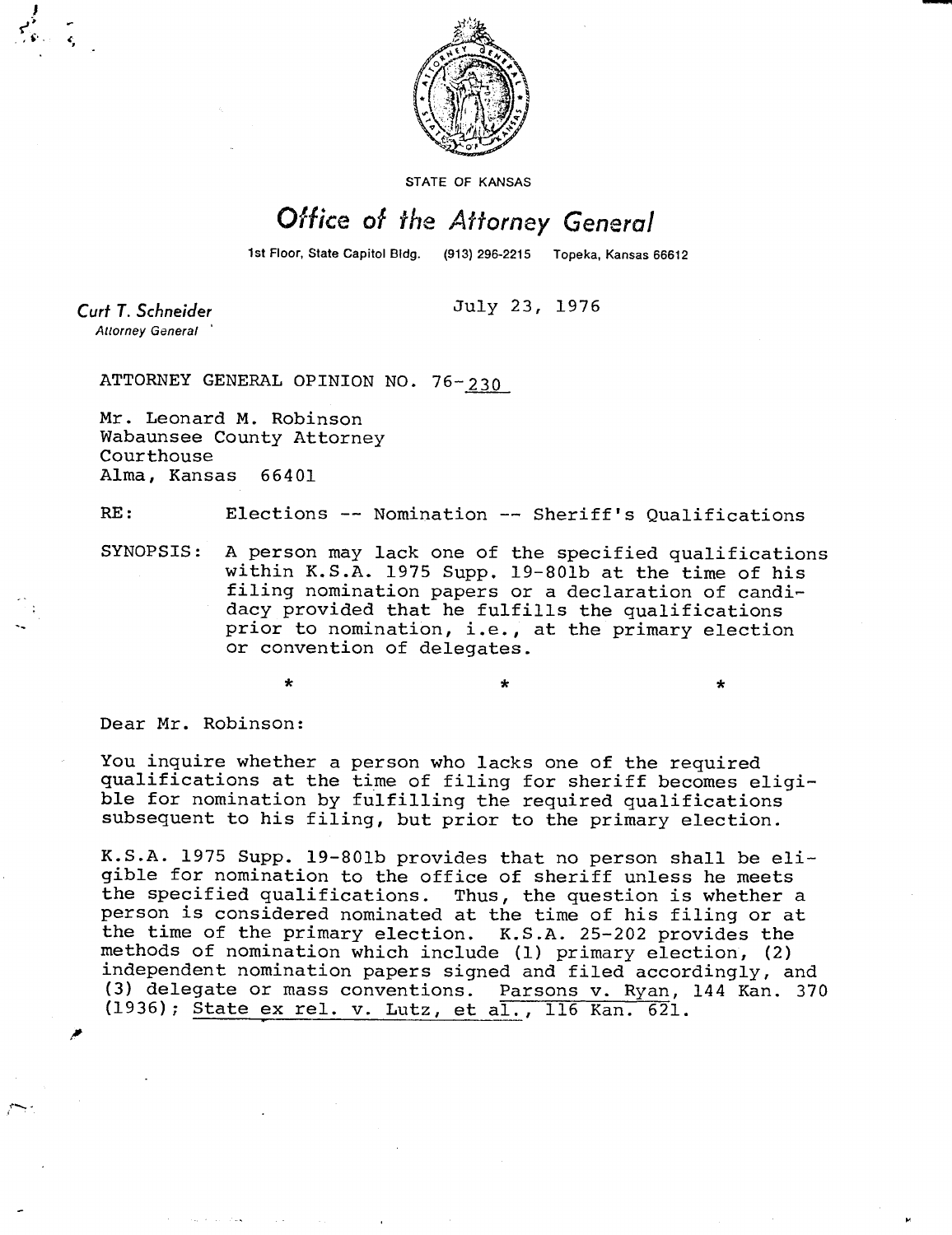

STATE OF KANSAS

## Office of the Attorney General

(913) 296-2215 Topeka, Kansas 66612 1st Floor, State Capitol Bidg.

July 23, 1976

Curt T. Schneider **Attorney General** 

ATTORNEY GENERAL OPINION NO. 76- 230

Mr. Leonard M. Robinson Wabaunsee County Attorney Courthouse Alma, Kansas 66401

RE: Elections -- Nomination -- Sheriff's Qualifications

SYNOPSIS: A person may lack one of the specified qualifications within K.S.A. 1975 Supp. 19-801b at the time of his filing nomination papers or a declaration of candidacy provided that he fulfills the qualifications prior to nomination, i.e., at the primary election or convention of delegates.

Dear Mr. Robinson:

You inquire whether a person who lacks one of the required qualifications at the time of filing for sheriff becomes eligible for nomination by fulfilling the required qualifications subsequent to his filing, but prior to the primary election.

K.S.A. 1975 Supp. 19-801b provides that no person shall be eligible for nomination to the office of sheriff unless he meets the specified qualifications. Thus, the question is whether a person is considered nominated at the time of his filing or at the time of the primary election. K.S.A. 25-202 provides the methods of nomination which include (1) primary election, (2) independent nomination papers signed and filed accordingly, and (3) delegate or mass conventions. Parsons v. Ryan,144 Kan. 370 (1936); State ex rel. v. Lutz, et al., 116 Kan. 621.